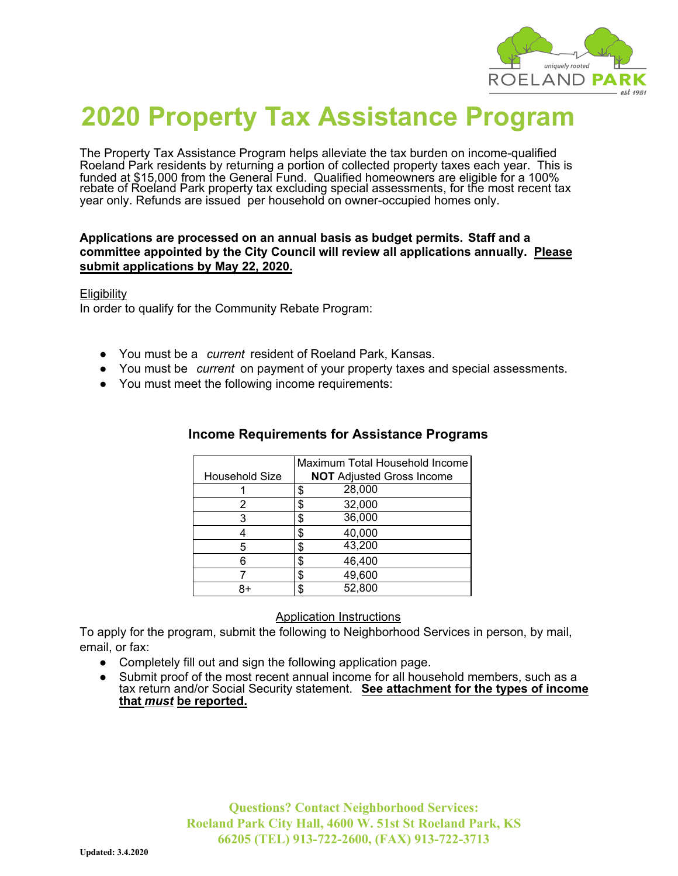

# **2020 Property Tax Assistance Program**

The Property Tax Assistance Program helps alleviate the tax burden on income-qualified Roeland Park residents by returning a portion of collected property taxes each year. This is funded at \$15,000 from the General Fund. Qualified homeowners are eligible for a 100% rebate of Roeland Park property tax excluding special assessments, for the most recent tax year only. Refunds are issued per household on owner-occupied homes only.

#### **Applications are processed on an annual basis as budget permits. Staff and a committee appointed by the City Council will review all applications annually. Please submit applications by May 22, 2020.**

**Eligibility** 

In order to qualify for the Community Rebate Program:

- You must be a *current* resident of Roeland Park, Kansas.
- You must be *current* on payment of your property taxes and special assessments.
- You must meet the following income requirements:

|                       | Maximum Total Household Income   |  |
|-----------------------|----------------------------------|--|
| <b>Household Size</b> | <b>NOT</b> Adjusted Gross Income |  |
|                       | 28,000<br>\$                     |  |
|                       | 32,000<br>\$                     |  |
| З                     | 36,000<br>\$                     |  |
|                       | 40,000<br>\$                     |  |
|                       | 43,200<br>\$                     |  |
|                       | \$<br>46,400                     |  |
|                       | 49,600<br>\$                     |  |
|                       | 52,800<br>\$                     |  |

### **Income Requirements for Assistance Programs**

#### Application Instructions

To apply for the program, submit the following to Neighborhood Services in person, by mail, email, or fax:

- Completely fill out and sign the following application page.
- Submit proof of the most recent annual income for all household members, such as a tax return and/or Social Security statement. **See attachment for the types of income that** *must* **be reported.**

**Questions? Contact Neighborhood Services: Roeland Park City Hall, 4600 W. 51st St Roeland Park, KS 66205 (TEL) 913-722-2600, (FAX) 913-722-3713**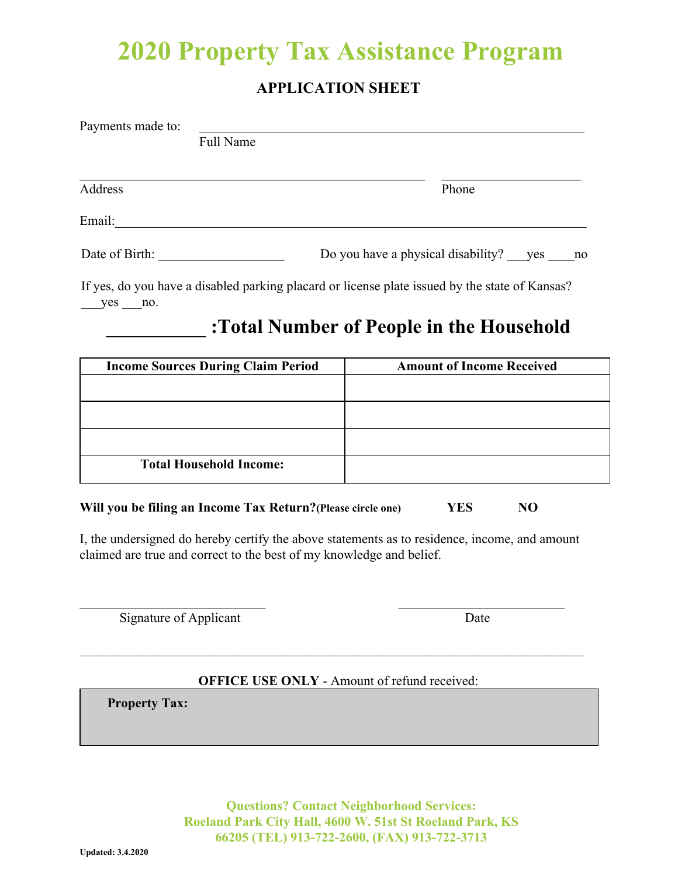## **2020 Property Tax Assistance Program**

### **APPLICATION SHEET**

| Payments made to: |           |                                              |
|-------------------|-----------|----------------------------------------------|
|                   | Full Name |                                              |
| Address           |           | Phone                                        |
| Email:            |           |                                              |
| Date of Birth:    |           | Do you have a physical disability? yes<br>no |
|                   |           |                                              |

If yes, do you have a disabled parking placard or license plate issued by the state of Kansas? yes no.

## **\_\_\_\_\_\_\_\_\_\_ :Total Number of People in the Household**

| <b>Income Sources During Claim Period</b> | <b>Amount of Income Received</b> |
|-------------------------------------------|----------------------------------|
|                                           |                                  |
|                                           |                                  |
|                                           |                                  |
| <b>Total Household Income:</b>            |                                  |

### **Will you be filing an Income Tax Return?(Please circle one) YES NO**

I, the undersigned do hereby certify the above statements as to residence, income, and amount claimed are true and correct to the best of my knowledge and belief.

 $\mathcal{L}_\text{max}$  , and the contract of the contract of the contract of the contract of the contract of the contract of the contract of the contract of the contract of the contract of the contract of the contract of the contr

Signature of Applicant Date

### **OFFICE USE ONLY** - Amount of refund received:

**Property Tax:** 

**Questions? Contact Neighborhood Services: Roeland Park City Hall, 4600 W. 51st St Roeland Park, KS 66205 (TEL) 913-722-2600, (FAX) 913-722-3713**